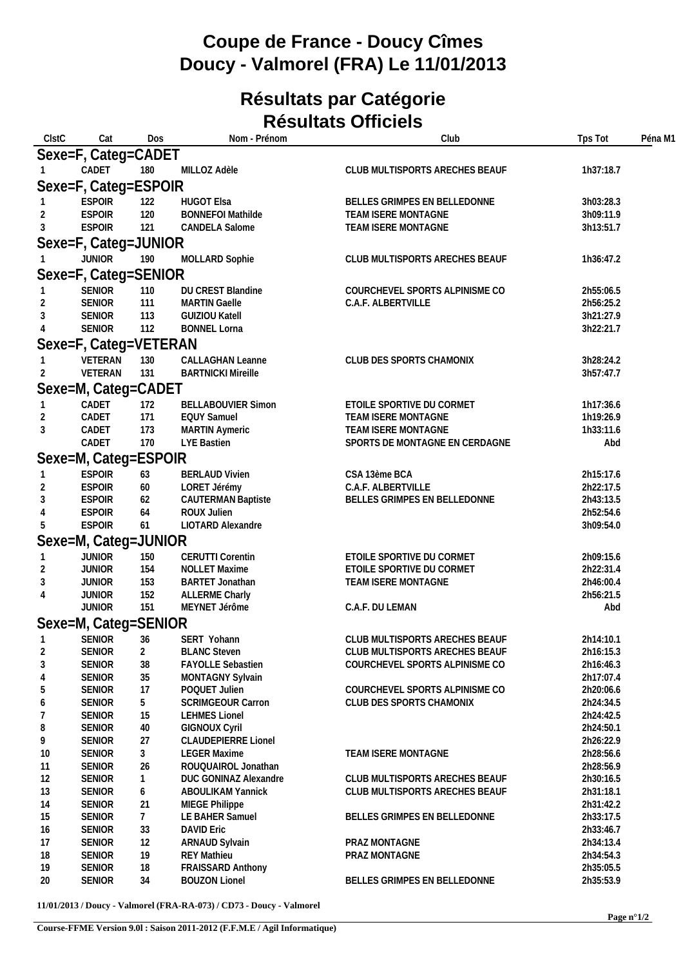## **Coupe de France - Doucy Cîmes Doucy - Valmorel (FRA) Le 11/01/2013**

## **Résultats par Catégorie Résultats Officiels**

| CIstC          | Cat                            | Dos            | Nom - Prénom                                   | Club                                       | Tps Tot                | Péna M1 |
|----------------|--------------------------------|----------------|------------------------------------------------|--------------------------------------------|------------------------|---------|
|                | Sexe=F, Categ=CADET            |                |                                                |                                            |                        |         |
|                | CADET                          | 180            | MILLOZ Adèle                                   | CLUB MULTISPORTS ARECHES BEAUF             | 1h37:18.7              |         |
|                | Sexe=F, Categ=ESPOIR           |                |                                                |                                            |                        |         |
|                | <b>ESPOIR</b>                  | 122            | <b>HUGOT Elsa</b>                              | BELLES GRIMPES EN BELLEDONNE               | 3h03:28.3              |         |
|                | <b>ESPOIR</b>                  | 120            | <b>BONNEFOI Mathilde</b>                       | TEAM ISERE MONTAGNE                        | 3h09:11.9              |         |
| 3              | <b>ESPOIR</b>                  | 121            | <b>CANDELA Salome</b>                          | TEAM ISERE MONTAGNE                        | 3h13:51.7              |         |
|                | Sexe=F, Categ=JUNIOR           |                |                                                |                                            |                        |         |
|                | <b>JUNIOR</b>                  | 190            | MOLLARD Sophie                                 | CLUB MULTISPORTS ARECHES BEAUF             | 1h36:47.2              |         |
|                |                                |                |                                                |                                            |                        |         |
|                | Sexe=F, Categ=SENIOR           |                |                                                |                                            |                        |         |
|                | SENIOR<br>SENIOR               | 110            | DU CREST Blandine                              | COURCHEVEL SPORTS ALPINISME CO             | 2h55:06.5              |         |
|                | SENIOR                         | 111<br>113     | <b>MARTIN Gaelle</b><br><b>GUIZIOU Katell</b>  | C.A.F. ALBERTVILLE                         | 2h56:25.2<br>3h21:27.9 |         |
|                | <b>SENIOR</b>                  | 112            | <b>BONNEL Lorna</b>                            |                                            | 3h22:21.7              |         |
|                |                                |                |                                                |                                            |                        |         |
|                | Sexe=F, Categ=VETERAN          |                | <b>CALLAGHAN Leanne</b>                        |                                            |                        |         |
|                | VETERAN<br>VETERAN             | 130<br>131     | <b>BARTNICKI Mireille</b>                      | CLUB DES SPORTS CHAMONIX                   | 3h28:24.2<br>3h57:47.7 |         |
|                |                                |                |                                                |                                            |                        |         |
|                | Sexe=M, Categ=CADET            |                |                                                |                                            |                        |         |
|                | CADET                          | 172            | <b>BELLABOUVIER Simon</b>                      | ETOILE SPORTIVE DU CORMET                  | 1h17:36.6              |         |
| 3              | CADET<br>CADET                 | 171<br>173     | <b>EQUY Samuel</b><br><b>MARTIN Aymeric</b>    | TEAM ISERE MONTAGNE<br>TEAM ISERE MONTAGNE | 1h19:26.9<br>1h33:11.6 |         |
|                | CADET                          | 170            | LYE Bastien                                    | SPORTS DE MONTAGNE EN CERDAGNE             | Abd                    |         |
|                |                                |                |                                                |                                            |                        |         |
|                | Sexe=M, Categ=ESPOIR           |                |                                                |                                            |                        |         |
|                | <b>ESPOIR</b><br><b>ESPOIR</b> | 63<br>60       | <b>BERLAUD Vivien</b><br>LORET Jérémy          | CSA 13ème BCA<br>C.A.F. ALBERTVILLE        | 2h15:17.6<br>2h22:17.5 |         |
|                | <b>ESPOIR</b>                  | 62             | <b>CAUTERMAN Baptiste</b>                      | BELLES GRIMPES EN BELLEDONNE               | 2h43:13.5              |         |
|                | <b>ESPOIR</b>                  | 64             | ROUX Julien                                    |                                            | 2h52:54.6              |         |
| 5              | <b>ESPOIR</b>                  | 61             | LIOTARD Alexandre                              |                                            | 3h09:54.0              |         |
|                | Sexe=M, Categ=JUNIOR           |                |                                                |                                            |                        |         |
|                | <b>JUNIOR</b>                  | 150            | <b>CERUTTI Corentin</b>                        | ETOILE SPORTIVE DU CORMET                  | 2h09:15.6              |         |
|                | <b>JUNIOR</b>                  | 154            | NOLLET Maxime                                  | ETOILE SPORTIVE DU CORMET                  | 2h22:31.4              |         |
| 3              | <b>JUNIOR</b>                  | 153            | BARTET Jonathan                                | TEAM ISERE MONTAGNE                        | 2h46:00.4              |         |
| 4              | <b>JUNIOR</b>                  | 152            | <b>ALLERME Charly</b>                          |                                            | 2h56:21.5              |         |
|                | <b>JUNIOR</b>                  | 151            | MEYNET Jérôme                                  | C.A.F. DU LEMAN                            | Abd                    |         |
|                | Sexe=M, Categ=SENIOR           |                |                                                |                                            |                        |         |
|                | SENIOR                         | 36             | SERT Yohann                                    | CLUB MULTISPORTS ARECHES BEAUF             | 2h14:10.1              |         |
| $\overline{2}$ | <b>SENIOR</b>                  | $\overline{2}$ | <b>BLANC Steven</b>                            | CLUB MULTISPORTS ARECHES BEAUF             | 2h16:15.3              |         |
| 3              | <b>SENIOR</b>                  | 38             | FAYOLLE Sebastien                              | COURCHEVEL SPORTS ALPINISME CO             | 2h16:46.3              |         |
| 4              | <b>SENIOR</b>                  | 35             | MONTAGNY Sylvain                               |                                            | 2h17:07.4              |         |
| 5              | <b>SENIOR</b>                  | 17             | POQUET Julien                                  | COURCHEVEL SPORTS ALPINISME CO             | 2h20:06.6              |         |
| 6              | SENIOR                         | 5              | SCRIMGEOUR Carron                              | CLUB DES SPORTS CHAMONIX                   | 2h24:34.5              |         |
| 7<br>8         | <b>SENIOR</b><br><b>SENIOR</b> | 15<br>40       | <b>LEHMES Lionel</b><br><b>GIGNOUX Cyril</b>   |                                            | 2h24:42.5<br>2h24:50.1 |         |
| 9              | <b>SENIOR</b>                  | 27             | <b>CLAUDEPIERRE Lionel</b>                     |                                            | 2h26:22.9              |         |
| 10             | <b>SENIOR</b>                  | $\mathfrak{Z}$ | <b>LEGER Maxime</b>                            | TEAM ISERE MONTAGNE                        | 2h28:56.6              |         |
| 11             | <b>SENIOR</b>                  | 26             | ROUQUAIROL Jonathan                            |                                            | 2h28:56.9              |         |
| 12             | SENIOR                         | $\mathbf{1}$   | <b>DUC GONINAZ Alexandre</b>                   | CLUB MULTISPORTS ARECHES BEAUF             | 2h30:16.5              |         |
| 13             | SENIOR                         | 6              | <b>ABOULIKAM Yannick</b>                       | CLUB MULTISPORTS ARECHES BEAUF             | 2h31:18.1              |         |
| 14             | <b>SENIOR</b>                  | 21             | MIEGE Philippe                                 |                                            | 2h31:42.2              |         |
| 15             | <b>SENIOR</b>                  | $7^{\circ}$    | LE BAHER Samuel                                | BELLES GRIMPES EN BELLEDONNE               | 2h33:17.5              |         |
| 16             | <b>SENIOR</b>                  | 33             | <b>DAVID Eric</b>                              |                                            | 2h33:46.7              |         |
| 17             | <b>SENIOR</b>                  | 12             | ARNAUD Sylvain                                 | PRAZ MONTAGNE                              | 2h34:13.4              |         |
| 18<br>19       | <b>SENIOR</b><br>SENIOR        | 19<br>18       | <b>REY Mathieu</b><br><b>FRAISSARD Anthony</b> | PRAZ MONTAGNE                              | 2h34:54.3<br>2h35:05.5 |         |
| 20             | SENIOR                         | 34             | <b>BOUZON Lionel</b>                           | BELLES GRIMPES EN BELLEDONNE               | 2h35:53.9              |         |
|                |                                |                |                                                |                                            |                        |         |

**11/01/2013 / Doucy - Valmorel (FRA-RA-073) / CD73 - Doucy - Valmorel**